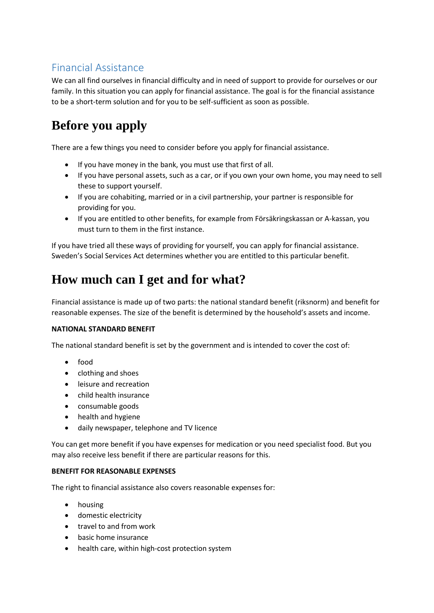#### Financial Assistance

We can all find ourselves in financial difficulty and in need of support to provide for ourselves or our family. In this situation you can apply for financial assistance. The goal is for the financial assistance to be a short-term solution and for you to be self-sufficient as soon as possible.

# **Before you apply**

There are a few things you need to consider before you apply for financial assistance.

- If you have money in the bank, you must use that first of all.
- If you have personal assets, such as a car, or if you own your own home, you may need to sell these to support yourself.
- If you are cohabiting, married or in a civil partnership, your partner is responsible for providing for you.
- If you are entitled to other benefits, for example from Försäkringskassan or A-kassan, you must turn to them in the first instance.

If you have tried all these ways of providing for yourself, you can apply for financial assistance. Sweden's Social Services Act determines whether you are entitled to this particular benefit.

# **How much can I get and for what?**

Financial assistance is made up of two parts: the national standard benefit (riksnorm) and benefit for reasonable expenses. The size of the benefit is determined by the household's assets and income.

#### **NATIONAL STANDARD BENEFIT**

The national standard benefit is set by the government and is intended to cover the cost of:

- food
- clothing and shoes
- leisure and recreation
- child health insurance
- consumable goods
- health and hygiene
- daily newspaper, telephone and TV licence

You can get more benefit if you have expenses for medication or you need specialist food. But you may also receive less benefit if there are particular reasons for this.

#### **BENEFIT FOR REASONABLE EXPENSES**

The right to financial assistance also covers reasonable expenses for:

- housing
- domestic electricity
- travel to and from work
- basic home insurance
- health care, within high-cost protection system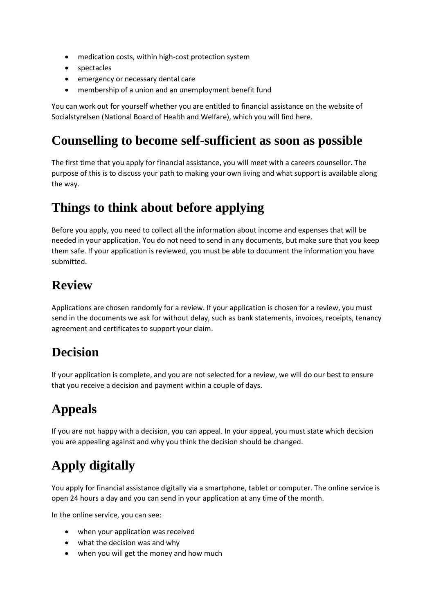- medication costs, within high-cost protection system
- spectacles
- emergency or necessary dental care
- membership of a union and an unemployment benefit fund

You can work out for yourself whether you are entitled to financial assistance on the website of Socialstyrelsen (National Board of Health and Welfare), which you will find here.

#### **Counselling to become self-sufficient as soon as possible**

The first time that you apply for financial assistance, you will meet with a careers counsellor. The purpose of this is to discuss your path to making your own living and what support is available along the way.

#### **Things to think about before applying**

Before you apply, you need to collect all the information about income and expenses that will be needed in your application. You do not need to send in any documents, but make sure that you keep them safe. If your application is reviewed, you must be able to document the information you have submitted.

### **Review**

Applications are chosen randomly for a review. If your application is chosen for a review, you must send in the documents we ask for without delay, such as bank statements, invoices, receipts, tenancy agreement and certificates to support your claim.

## **Decision**

If your application is complete, and you are not selected for a review, we will do our best to ensure that you receive a decision and payment within a couple of days.

# **Appeals**

If you are not happy with a decision, you can appeal. In your appeal, you must state which decision you are appealing against and why you think the decision should be changed.

# **Apply digitally**

You apply for financial assistance digitally via a smartphone, tablet or computer. The online service is open 24 hours a day and you can send in your application at any time of the month.

In the online service, you can see:

- when your application was received
- what the decision was and why
- when you will get the money and how much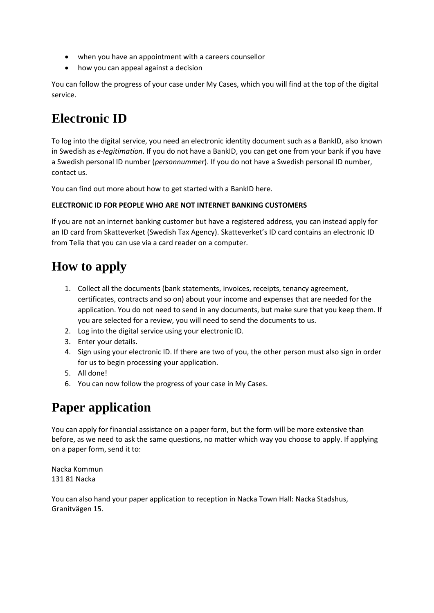- when you have an appointment with a careers counsellor
- how you can appeal against a decision

You can follow the progress of your case under My Cases, which you will find at the top of the digital service.

## **Electronic ID**

To log into the digital service, you need an electronic identity document such as a BankID, also known in Swedish as *e-legitimation*. If you do not have a BankID, you can get one from your bank if you have a Swedish personal ID number (*personnummer*). If you do not have a Swedish personal ID number, contact us.

You can find out more about how to get started with a BankID here.

#### **ELECTRONIC ID FOR PEOPLE WHO ARE NOT INTERNET BANKING CUSTOMERS**

If you are not an internet banking customer but have a registered address, you can instead apply for an ID card from Skatteverket (Swedish Tax Agency). Skatteverket's ID card contains an electronic ID from Telia that you can use via a card reader on a computer.

### **How to apply**

- 1. Collect all the documents (bank statements, invoices, receipts, tenancy agreement, certificates, contracts and so on) about your income and expenses that are needed for the application. You do not need to send in any documents, but make sure that you keep them. If you are selected for a review, you will need to send the documents to us.
- 2. Log into the digital service using your electronic ID.
- 3. Enter your details.
- 4. Sign using your electronic ID. If there are two of you, the other person must also sign in order for us to begin processing your application.
- 5. All done!
- 6. You can now follow the progress of your case in My Cases.

## **Paper application**

You can apply for financial assistance on a paper form, but the form will be more extensive than before, as we need to ask the same questions, no matter which way you choose to apply. If applying on a paper form, send it to:

Nacka Kommun 131 81 Nacka

You can also hand your paper application to reception in Nacka Town Hall: Nacka Stadshus, Granitvägen 15.